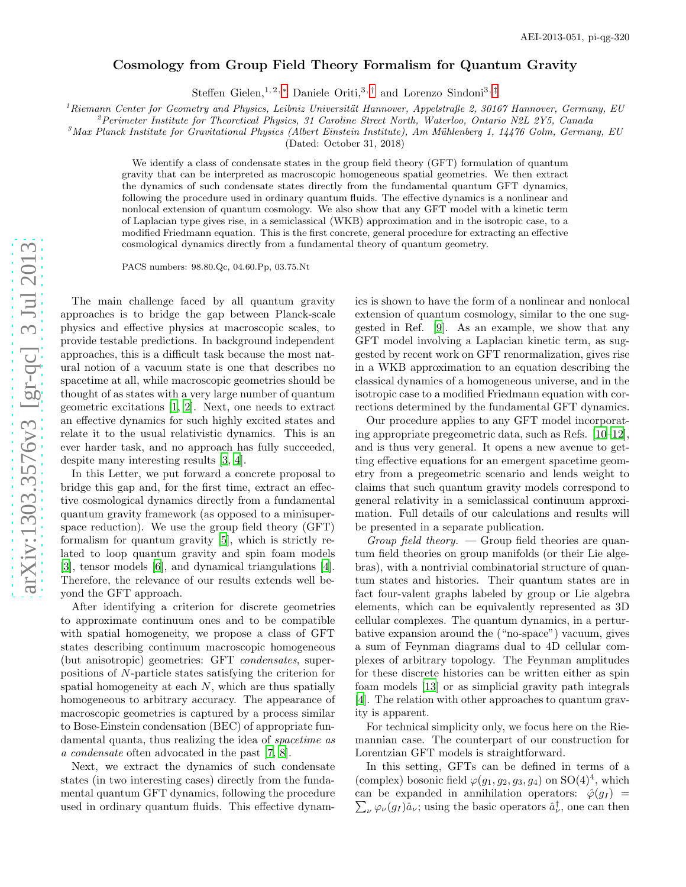## Cosmology from Group Field Theory Formalism for Quantum Gravity

Steffen Gielen,<sup>1,2,\*</sup> Daniele Oriti,<sup>3,[†](#page-3-1)</sup> and Lorenzo Sindoni<sup>3,[‡](#page-3-2)</sup>

<sup>1</sup>Riemann Center for Geometry and Physics, Leibniz Universität Hannover, Appelstraße 2, 30167 Hannover, Germany, EU<br><sup>2</sup>Perimeter Institute for Theoretical Physics, 31 Caroline Street North, Waterloo, Ontario N2L 2Y5, Can

(Dated: October 31, 2018)

We identify a class of condensate states in the group field theory (GFT) formulation of quantum gravity that can be interpreted as macroscopic homogeneous spatial geometries. We then extract the dynamics of such condensate states directly from the fundamental quantum GFT dynamics, following the procedure used in ordinary quantum fluids. The effective dynamics is a nonlinear and nonlocal extension of quantum cosmology. We also show that any GFT model with a kinetic term of Laplacian type gives rise, in a semiclassical (WKB) approximation and in the isotropic case, to a modified Friedmann equation. This is the first concrete, general procedure for extracting an effective cosmological dynamics directly from a fundamental theory of quantum geometry.

PACS numbers: 98.80.Qc, 04.60.Pp, 03.75.Nt

The main challenge faced by all quantum gravity approaches is to bridge the gap between Planck-scale physics and effective physics at macroscopic scales, to provide testable predictions. In background independent approaches, this is a difficult task because the most natural notion of a vacuum state is one that describes no spacetime at all, while macroscopic geometries should be thought of as states with a very large number of quantum geometric excitations [\[1](#page-3-3), [2\]](#page-3-4). Next, one needs to extract an effective dynamics for such highly excited states and relate it to the usual relativistic dynamics. This is an ever harder task, and no approach has fully succeeded, despite many interesting results [\[3,](#page-3-5) [4\]](#page-3-6).

In this Letter, we put forward a concrete proposal to bridge this gap and, for the first time, extract an effective cosmological dynamics directly from a fundamental quantum gravity framework (as opposed to a minisuperspace reduction). We use the group field theory (GFT) formalism for quantum gravity [\[5](#page-3-7)], which is strictly related to loop quantum gravity and spin foam models [\[3\]](#page-3-5), tensor models [\[6\]](#page-3-8), and dynamical triangulations [\[4\]](#page-3-6). Therefore, the relevance of our results extends well beyond the GFT approach.

After identifying a criterion for discrete geometries to approximate continuum ones and to be compatible with spatial homogeneity, we propose a class of GFT states describing continuum macroscopic homogeneous (but anisotropic) geometries: GFT condensates, superpositions of N-particle states satisfying the criterion for spatial homogeneity at each N, which are thus spatially homogeneous to arbitrary accuracy. The appearance of macroscopic geometries is captured by a process similar to Bose-Einstein condensation (BEC) of appropriate fundamental quanta, thus realizing the idea of spacetime as a condensate often advocated in the past [\[7,](#page-3-9) [8\]](#page-3-10).

Next, we extract the dynamics of such condensate states (in two interesting cases) directly from the fundamental quantum GFT dynamics, following the procedure used in ordinary quantum fluids. This effective dynam-

ics is shown to have the form of a nonlinear and nonlocal extension of quantum cosmology, similar to the one suggested in Ref. [\[9\]](#page-3-11). As an example, we show that any GFT model involving a Laplacian kinetic term, as suggested by recent work on GFT renormalization, gives rise in a WKB approximation to an equation describing the classical dynamics of a homogeneous universe, and in the isotropic case to a modified Friedmann equation with corrections determined by the fundamental GFT dynamics.

Our procedure applies to any GFT model incorporating appropriate pregeometric data, such as Refs. [\[10](#page-3-12)[–12\]](#page-3-13), and is thus very general. It opens a new avenue to getting effective equations for an emergent spacetime geometry from a pregeometric scenario and lends weight to claims that such quantum gravity models correspond to general relativity in a semiclassical continuum approximation. Full details of our calculations and results will be presented in a separate publication.

Group field theory.  $\sim$  Group field theories are quantum field theories on group manifolds (or their Lie algebras), with a nontrivial combinatorial structure of quantum states and histories. Their quantum states are in fact four-valent graphs labeled by group or Lie algebra elements, which can be equivalently represented as 3D cellular complexes. The quantum dynamics, in a perturbative expansion around the ("no-space") vacuum, gives a sum of Feynman diagrams dual to 4D cellular complexes of arbitrary topology. The Feynman amplitudes for these discrete histories can be written either as spin foam models [\[13](#page-3-14)] or as simplicial gravity path integrals [\[4\]](#page-3-6). The relation with other approaches to quantum gravity is apparent.

For technical simplicity only, we focus here on the Riemannian case. The counterpart of our construction for Lorentzian GFT models is straightforward.

In this setting, GFTs can be defined in terms of a (complex) bosonic field  $\varphi(g_1, g_2, g_3, g_4)$  on  $SO(4)^4$ , which can be expanded in annihilation operators:  $\hat{\varphi}(g_I)$  = can be expanded in annihilation operators:  $\hat{\varphi}(g_I) = \sum_{\nu} \varphi_{\nu}(g_I) \hat{a}_{\nu}$ ; using the basic operators  $\hat{a}^{\dagger}_{\nu}$ , one can then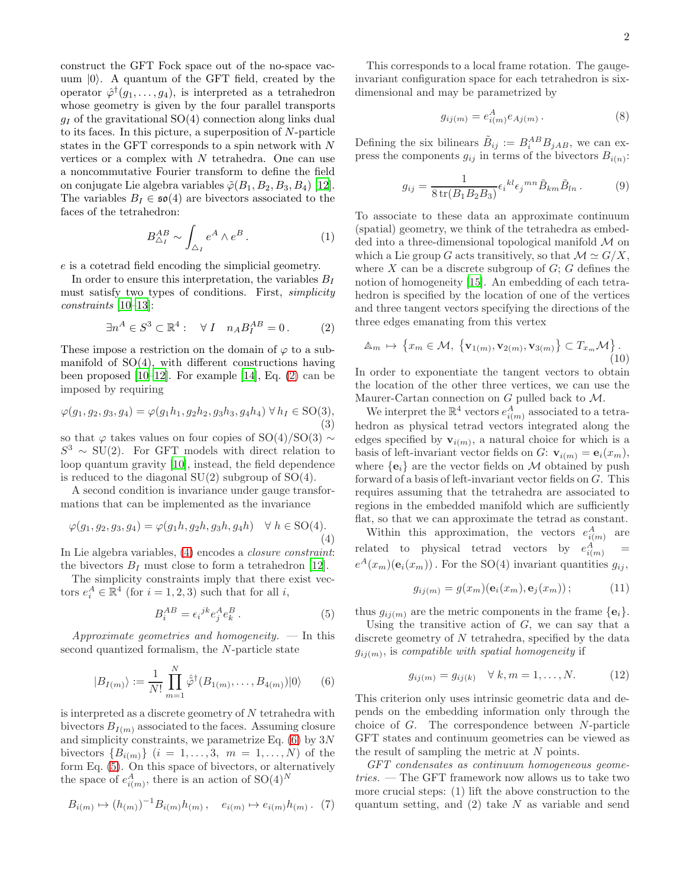construct the GFT Fock space out of the no-space vacuum  $|0\rangle$ . A quantum of the GFT field, created by the operator  $\hat{\varphi}^{\dagger}(g_1,\ldots,g_4)$ , is interpreted as a tetrahedron whose geometry is given by the four parallel transports  $q_I$  of the gravitational SO(4) connection along links dual to its faces. In this picture, a superposition of N-particle states in the GFT corresponds to a spin network with N vertices or a complex with  $N$  tetrahedra. One can use a noncommutative Fourier transform to define the field on conjugate Lie algebra variables  $\tilde{\varphi}(B_1, B_2, B_3, B_4)$  [\[12\]](#page-3-13). The variables  $B_I \in \mathfrak{so}(4)$  are bivectors associated to the faces of the tetrahedron:

$$
B_{\Delta_I}^{AB} \sim \int_{\Delta_I} e^A \wedge e^B \,. \tag{1}
$$

e is a cotetrad field encoding the simplicial geometry.

In order to ensure this interpretation, the variables  $B_I$ must satisfy two types of conditions. First, simplicity constraints [\[10](#page-3-12)[–13](#page-3-14)]:

<span id="page-1-0"></span>
$$
\exists n^A \in S^3 \subset \mathbb{R}^4 : \quad \forall I \quad n_A B_I^{AB} = 0. \tag{2}
$$

These impose a restriction on the domain of  $\varphi$  to a submanifold of  $SO(4)$ , with different constructions having been proposed  $[10-12]$ . For example  $[14]$ , Eq.  $(2)$  can be imposed by requiring

$$
\varphi(g_1, g_2, g_3, g_4) = \varphi(g_1 h_1, g_2 h_2, g_3 h_3, g_4 h_4) \,\forall \, h_I \in \text{SO}(3),\tag{3}
$$

so that  $\varphi$  takes values on four copies of SO(4)/SO(3)  $\sim$  $S^3 \sim SU(2)$ . For GFT models with direct relation to loop quantum gravity [\[10\]](#page-3-12), instead, the field dependence is reduced to the diagonal  $SU(2)$  subgroup of  $SO(4)$ .

A second condition is invariance under gauge transformations that can be implemented as the invariance

<span id="page-1-1"></span>
$$
\varphi(g_1, g_2, g_3, g_4) = \varphi(g_1 h, g_2 h, g_3 h, g_4 h) \quad \forall \ h \in \text{SO}(4). \tag{4}
$$

In Lie algebra variables, [\(4\)](#page-1-1) encodes a closure constraint: the bivectors  $B_I$  must close to form a tetrahedron [\[12](#page-3-13)].

The simplicity constraints imply that there exist vectors  $e_i^A \in \mathbb{R}^4$  (for  $i = 1, 2, 3$ ) such that for all i,

<span id="page-1-3"></span>
$$
B_i^{AB} = \epsilon_i^{jk} e_j^A e_k^B. \tag{5}
$$

Approximate geometries and homogeneity.  $\overline{\phantom{a}}$  In this second quantized formalism, the N-particle state

<span id="page-1-2"></span>
$$
|B_{I(m)}\rangle := \frac{1}{N!} \prod_{m=1}^{N} \hat{\varphi}^{\dagger}(B_{1(m)}, \dots, B_{4(m)}) |0\rangle \qquad (6)
$$

is interpreted as a discrete geometry of  $N$  tetrahedra with bivectors  $B_{I(m)}$  associated to the faces. Assuming closure and simplicity constraints, we parametrize Eq.  $(6)$  by  $3N$ bivectors  ${B_{i(m)}} (i = 1, ..., 3, m = 1, ..., N)$  of the form Eq. [\(5\)](#page-1-3). On this space of bivectors, or alternatively the space of  $e_{i(m)}^A$ , there is an action of SO(4)<sup>N</sup>

<span id="page-1-4"></span>
$$
B_{i(m)} \mapsto (h_{(m)})^{-1} B_{i(m)} h_{(m)}, \quad e_{i(m)} \mapsto e_{i(m)} h_{(m)}.
$$
 (7)

This corresponds to a local frame rotation. The gaugeinvariant configuration space for each tetrahedron is sixdimensional and may be parametrized by

$$
g_{ij(m)} = e_{i(m)}^A e_{Aj(m)}.
$$
 (8)

Defining the six bilinears  $\tilde{B}_{ij} := B_i^{AB} B_{jAB}$ , we can express the components  $g_{ij}$  in terms of the bivectors  $B_{i(n)}$ :

$$
g_{ij} = \frac{1}{8 \operatorname{tr}(B_1 B_2 B_3)} \epsilon_i{}^{kl} \epsilon_j{}^{mn} \tilde{B}_{km} \tilde{B}_{ln} . \tag{9}
$$

To associate to these data an approximate continuum (spatial) geometry, we think of the tetrahedra as embedded into a three-dimensional topological manifold M on which a Lie group G acts transitively, so that  $\mathcal{M} \simeq G/X$ , where X can be a discrete subgroup of  $G: G$  defines the notion of homogeneity [\[15\]](#page-3-16). An embedding of each tetrahedron is specified by the location of one of the vertices and three tangent vectors specifying the directions of the three edges emanating from this vertex

$$
\mathbb{A}_m \mapsto \left\{ x_m \in \mathcal{M}, \, \left\{ \mathbf{v}_{1(m)}, \mathbf{v}_{2(m)}, \mathbf{v}_{3(m)} \right\} \subset T_{x_m} \mathcal{M} \right\}.
$$
\n(10)

In order to exponentiate the tangent vectors to obtain the location of the other three vertices, we can use the Maurer-Cartan connection on  $G$  pulled back to  $\mathcal{M}$ .

We interpret the  $\mathbb{R}^4$  vectors  $e_{i(m)}^A$  associated to a tetrahedron as physical tetrad vectors integrated along the edges specified by  $\mathbf{v}_{i(m)}$ , a natural choice for which is a basis of left-invariant vector fields on G:  $\mathbf{v}_{i(m)} = \mathbf{e}_i(x_m)$ , where  $\{e_i\}$  are the vector fields on M obtained by push forward of a basis of left-invariant vector fields on G. This requires assuming that the tetrahedra are associated to regions in the embedded manifold which are sufficiently flat, so that we can approximate the tetrad as constant.

Within this approximation, the vectors  $e_{i(m)}^A$  are related to physical tetrad vectors by  $e_{i(m)}^A$  =  $e^{A}(x_m)(e_i(x_m))$ . For the SO(4) invariant quantities  $g_{ij}$ ,

$$
g_{ij(m)} = g(x_m)(\mathbf{e}_i(x_m), \mathbf{e}_j(x_m)); \tag{11}
$$

thus  $g_{ij(m)}$  are the metric components in the frame  ${e_i}$ .

Using the transitive action of  $G$ , we can say that a discrete geometry of N tetrahedra, specified by the data  $g_{ij(m)}$ , is compatible with spatial homogeneity if

<span id="page-1-5"></span>
$$
g_{ij(m)} = g_{ij(k)} \quad \forall \ k, m = 1, ..., N.
$$
 (12)

This criterion only uses intrinsic geometric data and depends on the embedding information only through the choice of G. The correspondence between N-particle GFT states and continuum geometries can be viewed as the result of sampling the metric at N points.

GFT condensates as continuum homogeneous geometries. — The GFT framework now allows us to take two more crucial steps: (1) lift the above construction to the quantum setting, and  $(2)$  take N as variable and send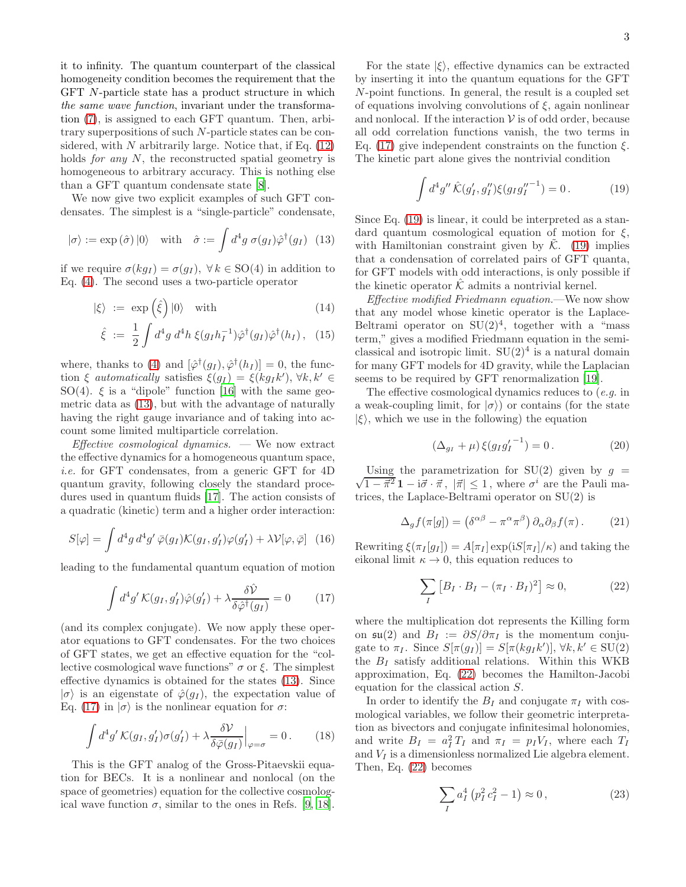it to infinity. The quantum counterpart of the classical homogeneity condition becomes the requirement that the GFT N-particle state has a product structure in which the same wave function, invariant under the transformation [\(7\)](#page-1-4), is assigned to each GFT quantum. Then, arbitrary superpositions of such N-particle states can be considered, with N arbitrarily large. Notice that, if Eq.  $(12)$ holds *for any N*, the reconstructed spatial geometry is homogeneous to arbitrary accuracy. This is nothing else than a GFT quantum condensate state [\[8\]](#page-3-10).

We now give two explicit examples of such GFT condensates. The simplest is a "single-particle" condensate,

<span id="page-2-0"></span>
$$
|\sigma\rangle := \exp(\hat{\sigma})|0\rangle
$$
 with  $\hat{\sigma} := \int d^4g \sigma(g_I)\hat{\varphi}^{\dagger}(g_I)$  (13)

if we require  $\sigma(kg_I) = \sigma(g_I)$ ,  $\forall k \in SO(4)$  in addition to Eq. [\(4\)](#page-1-1). The second uses a two-particle operator

<span id="page-2-5"></span>
$$
|\xi\rangle := \exp\left(\hat{\xi}\right)|0\rangle \quad \text{with} \tag{14}
$$

$$
\hat{\xi} := \frac{1}{2} \int d^4g \, d^4h \, \xi(g_I h_I^{-1}) \hat{\varphi}^\dagger(g_I) \hat{\varphi}^\dagger(h_I) \,, \tag{15}
$$

where, thanks to [\(4\)](#page-1-1) and  $[\hat{\varphi}^{\dagger}(g_I), \hat{\varphi}^{\dagger}(h_I)] = 0$ , the function  $\xi$  automatically satisfies  $\xi(g_I) = \xi(kg_Ik'), \forall k, k' \in$ SO(4).  $\xi$  is a "dipole" function [\[16\]](#page-3-17) with the same geometric data as [\(13\)](#page-2-0), but with the advantage of naturally having the right gauge invariance and of taking into account some limited multiparticle correlation.

*Effective cosmological dynamics.*  $\qquad$  We now extract the effective dynamics for a homogeneous quantum space, i.e. for GFT condensates, from a generic GFT for 4D quantum gravity, following closely the standard procedures used in quantum fluids [\[17\]](#page-3-18). The action consists of a quadratic (kinetic) term and a higher order interaction:

$$
S[\varphi] = \int d^4g \, d^4g' \, \bar{\varphi}(g_I) \mathcal{K}(g_I, g_I') \varphi(g_I') + \lambda \mathcal{V}[\varphi, \bar{\varphi}] \tag{16}
$$

leading to the fundamental quantum equation of motion

<span id="page-2-1"></span>
$$
\int d^4g' \mathcal{K}(g_I, g_I')\hat{\varphi}(g_I') + \lambda \frac{\delta \hat{\mathcal{V}}}{\delta \hat{\varphi}^\dagger(g_I)} = 0 \qquad (17)
$$

(and its complex conjugate). We now apply these operator equations to GFT condensates. For the two choices of GFT states, we get an effective equation for the "collective cosmological wave functions"  $\sigma$  or  $\xi$ . The simplest effective dynamics is obtained for the states [\(13\)](#page-2-0). Since  $|\sigma\rangle$  is an eigenstate of  $\hat{\varphi}(q_I)$ , the expectation value of Eq. [\(17\)](#page-2-1) in  $|\sigma\rangle$  is the nonlinear equation for  $\sigma$ :

$$
\int d^4g' \mathcal{K}(g_I, g_I')\sigma(g_I') + \lambda \frac{\delta \mathcal{V}}{\delta \bar{\varphi}(g_I)}\Big|_{\varphi=\sigma} = 0. \qquad (18)
$$

This is the GFT analog of the Gross-Pitaevskii equation for BECs. It is a nonlinear and nonlocal (on the space of geometries) equation for the collective cosmological wave function  $\sigma$ , similar to the ones in Refs. [\[9](#page-3-11), [18\]](#page-3-19).

For the state  $|\xi\rangle$ , effective dynamics can be extracted by inserting it into the quantum equations for the GFT N-point functions. In general, the result is a coupled set of equations involving convolutions of  $\xi$ , again nonlinear and nonlocal. If the interaction  $V$  is of odd order, because all odd correlation functions vanish, the two terms in Eq. [\(17\)](#page-2-1) give independent constraints on the function  $\xi$ . The kinetic part alone gives the nontrivial condition

<span id="page-2-2"></span>
$$
\int d^4g'' \hat{\mathcal{K}}(g'_I, g''_I) \xi(g_I g''_I^{-1}) = 0.
$$
 (19)

Since Eq. [\(19\)](#page-2-2) is linear, it could be interpreted as a standard quantum cosmological equation of motion for  $\xi$ , with Hamiltonian constraint given by  $\tilde{\mathcal{K}}$ . [\(19\)](#page-2-2) implies that a condensation of correlated pairs of GFT quanta, for GFT models with odd interactions, is only possible if the kinetic operator  $K$  admits a nontrivial kernel.

Effective modified Friedmann equation.—We now show that any model whose kinetic operator is the Laplace-Beltrami operator on  $SU(2)^4$ , together with a "mass" term," gives a modified Friedmann equation in the semiclassical and isotropic limit.  $SU(2)^4$  is a natural domain for many GFT models for 4D gravity, while the Laplacian seems to be required by GFT renormalization [\[19](#page-3-20)].

The effective cosmological dynamics reduces to (e.g. in a weak-coupling limit, for  $|\sigma\rangle$ ) or contains (for the state  $|\xi\rangle$ , which we use in the following) the equation

$$
(\Delta_{g_I} + \mu) \xi (g_I g_I'^{-1}) = 0.
$$
 (20)

 $\sqrt{1-\vec{\pi}^2}\mathbf{1}-i\vec{\sigma}\cdot\vec{\pi},$   $|\vec{\pi}| \leq 1$ , where  $\sigma^i$  are the Pauli ma-Using the parametrization for  $SU(2)$  given by  $q =$ trices, the Laplace-Beltrami operator on SU(2) is

$$
\Delta_g f(\pi[g]) = (\delta^{\alpha\beta} - \pi^{\alpha} \pi^{\beta}) \partial_{\alpha} \partial_{\beta} f(\pi). \tag{21}
$$

Rewriting  $\xi(\pi_I[g_I]) = A[\pi_I] \exp(iS[\pi_I]/\kappa)$  and taking the eikonal limit  $\kappa \to 0$ , this equation reduces to

<span id="page-2-3"></span>
$$
\sum_{I} \left[ B_I \cdot B_I - (\pi_I \cdot B_I)^2 \right] \approx 0, \tag{22}
$$

where the multiplication dot represents the Killing form on  $\mathfrak{su}(2)$  and  $B_I := \partial S / \partial \pi_I$  is the momentum conjugate to  $\pi_I$ . Since  $S[\pi(g_I)] = S[\pi(kg_Ik')], \forall k, k' \in \text{SU}(2)$ the  $B_I$  satisfy additional relations. Within this WKB approximation, Eq. [\(22\)](#page-2-3) becomes the Hamilton-Jacobi equation for the classical action S.

In order to identify the  $B_I$  and conjugate  $\pi_I$  with cosmological variables, we follow their geometric interpretation as bivectors and conjugate infinitesimal holonomies, and write  $B_I = a_I^2 T_I$  and  $\pi_I = p_I V_I$ , where each  $T_I$ and  $V_I$  is a dimensionless normalized Lie algebra element. Then, Eq. [\(22\)](#page-2-3) becomes

<span id="page-2-4"></span>
$$
\sum_{I} a_I^4 (p_I^2 c_I^2 - 1) \approx 0, \qquad (23)
$$